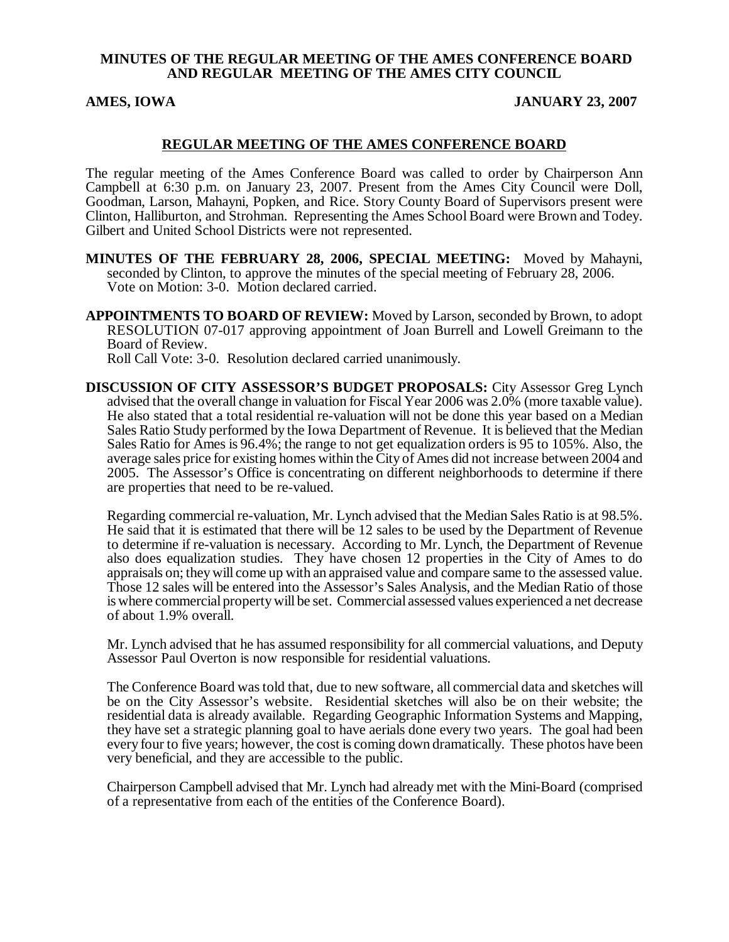### **MINUTES OF THE REGULAR MEETING OF THE AMES CONFERENCE BOARD AND REGULAR MEETING OF THE AMES CITY COUNCIL**

#### **AMES, IOWA JANUARY 23, 2007**

#### **REGULAR MEETING OF THE AMES CONFERENCE BOARD**

The regular meeting of the Ames Conference Board was called to order by Chairperson Ann Campbell at 6:30 p.m. on January 23, 2007. Present from the Ames City Council were Doll, Goodman, Larson, Mahayni, Popken, and Rice. Story County Board of Supervisors present were Clinton, Halliburton, and Strohman. Representing the Ames School Board were Brown and Todey. Gilbert and United School Districts were not represented.

**MINUTES OF THE FEBRUARY 28, 2006, SPECIAL MEETING:** Moved by Mahayni, seconded by Clinton, to approve the minutes of the special meeting of February 28, 2006. Vote on Motion: 3-0. Motion declared carried.

**APPOINTMENTS TO BOARD OF REVIEW:** Moved by Larson, seconded by Brown, to adopt RESOLUTION 07-017 approving appointment of Joan Burrell and Lowell Greimann to the Board of Review.

Roll Call Vote: 3-0. Resolution declared carried unanimously.

**DISCUSSION OF CITY ASSESSOR'S BUDGET PROPOSALS:** City Assessor Greg Lynch advised that the overall change in valuation for Fiscal Year 2006 was 2.0% (more taxable value). He also stated that a total residential re-valuation will not be done this year based on a Median Sales Ratio Study performed by the Iowa Department of Revenue. It is believed that the Median Sales Ratio for Ames is 96.4%; the range to not get equalization orders is 95 to 105%. Also, the average sales price for existing homes within the City of Ames did not increase between 2004 and 2005. The Assessor's Office is concentrating on different neighborhoods to determine if there are properties that need to be re-valued.

Regarding commercial re-valuation, Mr. Lynch advised that the Median Sales Ratio is at 98.5%. He said that it is estimated that there will be 12 sales to be used by the Department of Revenue to determine if re-valuation is necessary. According to Mr. Lynch, the Department of Revenue also does equalization studies. They have chosen 12 properties in the City of Ames to do appraisals on; they will come up with an appraised value and compare same to the assessed value. Those 12 sales will be entered into the Assessor's Sales Analysis, and the Median Ratio of those is where commercial property will be set. Commercial assessed values experienced a net decrease of about 1.9% overall.

Mr. Lynch advised that he has assumed responsibility for all commercial valuations, and Deputy Assessor Paul Overton is now responsible for residential valuations.

The Conference Board was told that, due to new software, all commercial data and sketches will be on the City Assessor's website. Residential sketches will also be on their website; the residential data is already available. Regarding Geographic Information Systems and Mapping, they have set a strategic planning goal to have aerials done every two years. The goal had been every four to five years; however, the cost is coming down dramatically. These photos have been very beneficial, and they are accessible to the public.

Chairperson Campbell advised that Mr. Lynch had already met with the Mini-Board (comprised of a representative from each of the entities of the Conference Board).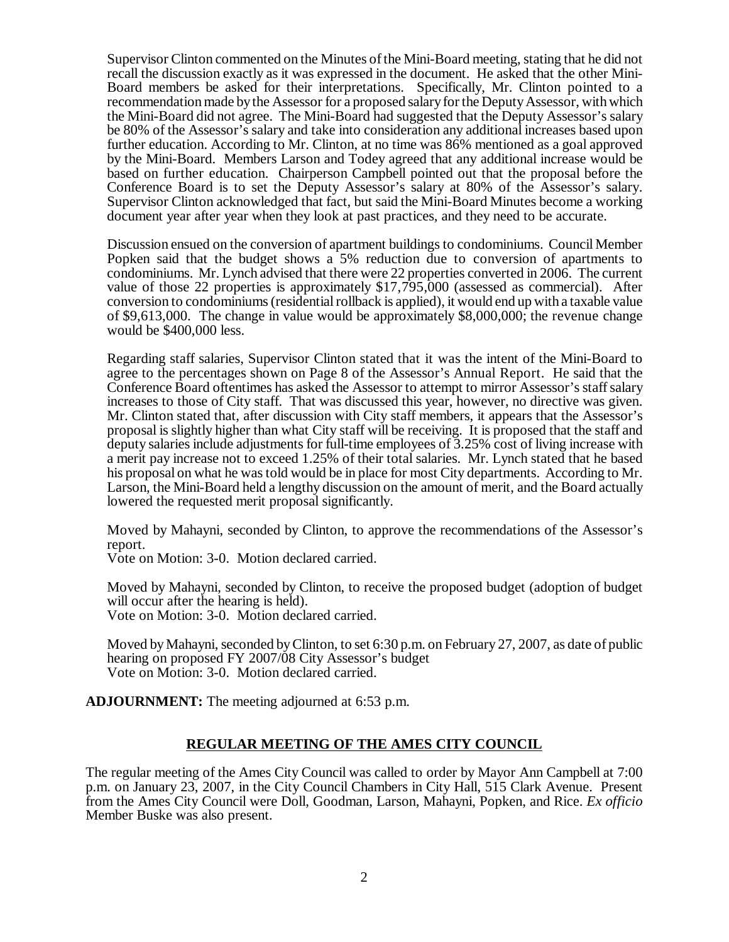Supervisor Clinton commented on the Minutes of the Mini-Board meeting, stating that he did not recall the discussion exactly as it was expressed in the document. He asked that the other Mini-Board members be asked for their interpretations. Specifically, Mr. Clinton pointed to a recommendation made by the Assessor for a proposed salary for the Deputy Assessor, with which the Mini-Board did not agree. The Mini-Board had suggested that the Deputy Assessor's salary be 80% of the Assessor's salary and take into consideration any additional increases based upon further education. According to Mr. Clinton, at no time was 86% mentioned as a goal approved by the Mini-Board. Members Larson and Todey agreed that any additional increase would be based on further education. Chairperson Campbell pointed out that the proposal before the Conference Board is to set the Deputy Assessor's salary at 80% of the Assessor's salary. Supervisor Clinton acknowledged that fact, but said the Mini-Board Minutes become a working document year after year when they look at past practices, and they need to be accurate.

Discussion ensued on the conversion of apartment buildings to condominiums. Council Member Popken said that the budget shows a 5% reduction due to conversion of apartments to condominiums. Mr. Lynch advised that there were 22 properties converted in 2006. The current value of those 22 properties is approximately \$17,795,000 (assessed as commercial). After conversion to condominiums (residential rollback is applied), it would end up with a taxable value of \$9,613,000. The change in value would be approximately \$8,000,000; the revenue change would be \$400,000 less.

Regarding staff salaries, Supervisor Clinton stated that it was the intent of the Mini-Board to agree to the percentages shown on Page 8 of the Assessor's Annual Report. He said that the Conference Board oftentimes has asked the Assessor to attempt to mirror Assessor's staff salary increases to those of City staff. That was discussed this year, however, no directive was given. Mr. Clinton stated that, after discussion with City staff members, it appears that the Assessor's proposal is slightly higher than what City staff will be receiving. It is proposed that the staff and deputy salaries include adjustments for full-time employees of 3.25% cost of living increase with a merit pay increase not to exceed 1.25% of their total salaries. Mr. Lynch stated that he based his proposal on what he was told would be in place for most City departments. According to Mr. Larson, the Mini-Board held a lengthy discussion on the amount of merit, and the Board actually lowered the requested merit proposal significantly.

Moved by Mahayni, seconded by Clinton, to approve the recommendations of the Assessor's report.

Vote on Motion: 3-0. Motion declared carried.

Moved by Mahayni, seconded by Clinton, to receive the proposed budget (adoption of budget will occur after the hearing is held). Vote on Motion: 3-0. Motion declared carried.

Moved by Mahayni, seconded by Clinton, to set 6:30 p.m. on February 27, 2007, as date of public hearing on proposed FY 2007/08 City Assessor's budget Vote on Motion: 3-0. Motion declared carried.

**ADJOURNMENT:** The meeting adjourned at 6:53 p.m.

## **REGULAR MEETING OF THE AMES CITY COUNCIL**

The regular meeting of the Ames City Council was called to order by Mayor Ann Campbell at 7:00 p.m. on January 23, 2007, in the City Council Chambers in City Hall, 515 Clark Avenue. Present from the Ames City Council were Doll, Goodman, Larson, Mahayni, Popken, and Rice. *Ex officio* Member Buske was also present.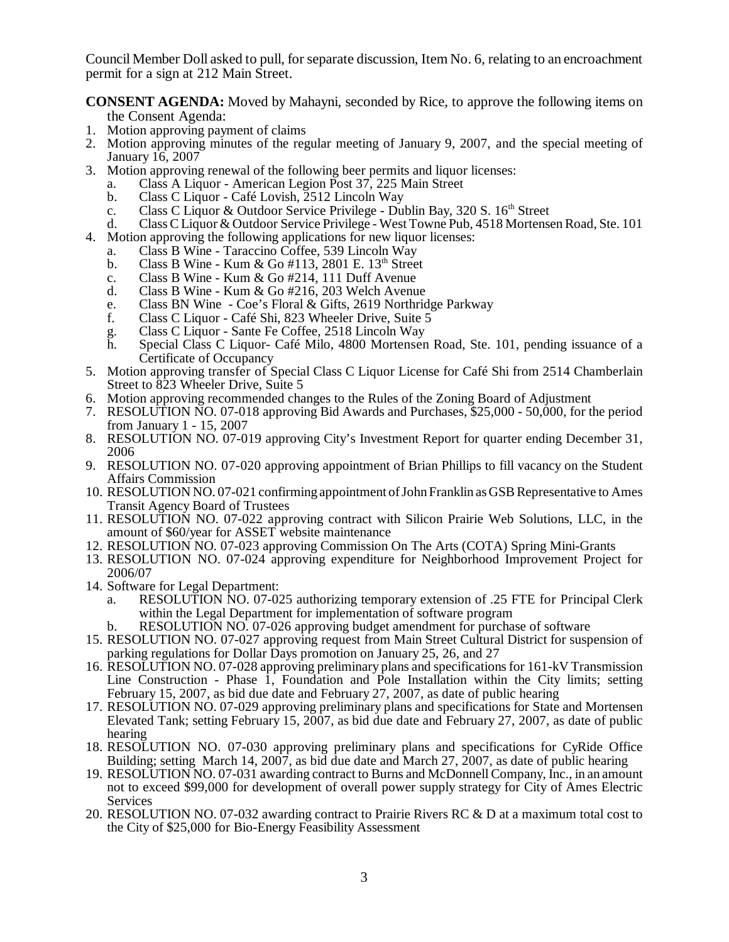Council Member Doll asked to pull, for separate discussion, Item No. 6, relating to an encroachment permit for a sign at 212 Main Street.

**CONSENT AGENDA:** Moved by Mahayni, seconded by Rice, to approve the following items on the Consent Agenda:

- 1. Motion approving payment of claims
- 2. Motion approving minutes of the regular meeting of January 9, 2007, and the special meeting of January 16, 2007
- 3. Motion approving renewal of the following beer permits and liquor licenses:
	- a. Class A Liquor American Legion Post 37, 225 Main Street
	- b. Class C Liquor Café Lovish, 2512 Lincoln Way
	- c. Class C Liquor & Outdoor Service Privilege Dublin Bay, 320 S. 16<sup>th</sup> Street
	- d. Class C Liquor & Outdoor Service Privilege West Towne Pub, 4518 Mortensen Road, Ste. 101
- 4. Motion approving the following applications for new liquor licenses:
	- a. Class B Wine Taraccino Coffee, 539 Lincoln Way
	- b. Class B Wine Kum & Go #113, 2801 E.  $13<sup>th</sup>$  Street
	- c. Class B Wine Kum & Go #214, 111 Duff Avenue
	- d. Class B Wine Kum & Go #216, 203 Welch Avenue
	- e. Class BN Wine Coe's Floral & Gifts, 2619 Northridge Parkway f. Class C Liquor Café Shi, 823 Wheeler Drive. Suite 5
	- Class C Liquor Café Shi, 823 Wheeler Drive, Suite 5
	- g. Class C Liquor Sante Fe Coffee, 2518 Lincoln Way
	- Special Class C Liquor- Café Milo, 4800 Mortensen Road, Ste. 101, pending issuance of a Certificate of Occupancy
- 5. Motion approving transfer of Special Class C Liquor License for Café Shi from 2514 Chamberlain Street to 823 Wheeler Drive, Suite 5
- 6. Motion approving recommended changes to the Rules of the Zoning Board of Adjustment
- 7. RESOLUTION NO. 07-018 approving Bid Awards and Purchases, \$25,000 50,000, for the period from January 1 - 15, 2007
- 8. RESOLUTION NO. 07-019 approving City's Investment Report for quarter ending December 31, 2006
- 9. RESOLUTION NO. 07-020 approving appointment of Brian Phillips to fill vacancy on the Student Affairs Commission
- 10. RESOLUTION NO. 07-021 confirming appointment of John Franklin as GSB Representative to Ames Transit Agency Board of Trustees
- 11. RESOLUTION NO. 07-022 approving contract with Silicon Prairie Web Solutions, LLC, in the amount of \$60/year for ASSET website maintenance
- 12. RESOLUTION NO. 07-023 approving Commission On The Arts (COTA) Spring Mini-Grants
- 13. RESOLUTION NO. 07-024 approving expenditure for Neighborhood Improvement Project for 2006/07
- 14. Software for Legal Department:
	- a. RESOLUTION NO. 07-025 authorizing temporary extension of .25 FTE for Principal Clerk within the Legal Department for implementation of software program
	- b. RESOLUTION NO. 07-026 approving budget amendment for purchase of software
- 15. RESOLUTION NO. 07-027 approving request from Main Street Cultural District for suspension of parking regulations for Dollar Days promotion on January 25, 26, and 27
- 16. RESOLUTION NO. 07-028 approving preliminary plans and specifications for 161-kV Transmission Line Construction - Phase 1, Foundation and Pole Installation within the City limits; setting February 15, 2007, as bid due date and February 27, 2007, as date of public hearing
- 17. RESOLUTION NO. 07-029 approving preliminary plans and specifications for State and Mortensen Elevated Tank; setting February 15, 2007, as bid due date and February 27, 2007, as date of public hearing
- 18. RESOLUTION NO. 07-030 approving preliminary plans and specifications for CyRide Office Building; setting March 14, 2007, as bid due date and March 27, 2007, as date of public hearing
- 19. RESOLUTION NO. 07-031 awarding contract to Burns and McDonnell Company, Inc., in an amount not to exceed \$99,000 for development of overall power supply strategy for City of Ames Electric Services
- 20. RESOLUTION NO. 07-032 awarding contract to Prairie Rivers RC & D at a maximum total cost to the City of \$25,000 for Bio-Energy Feasibility Assessment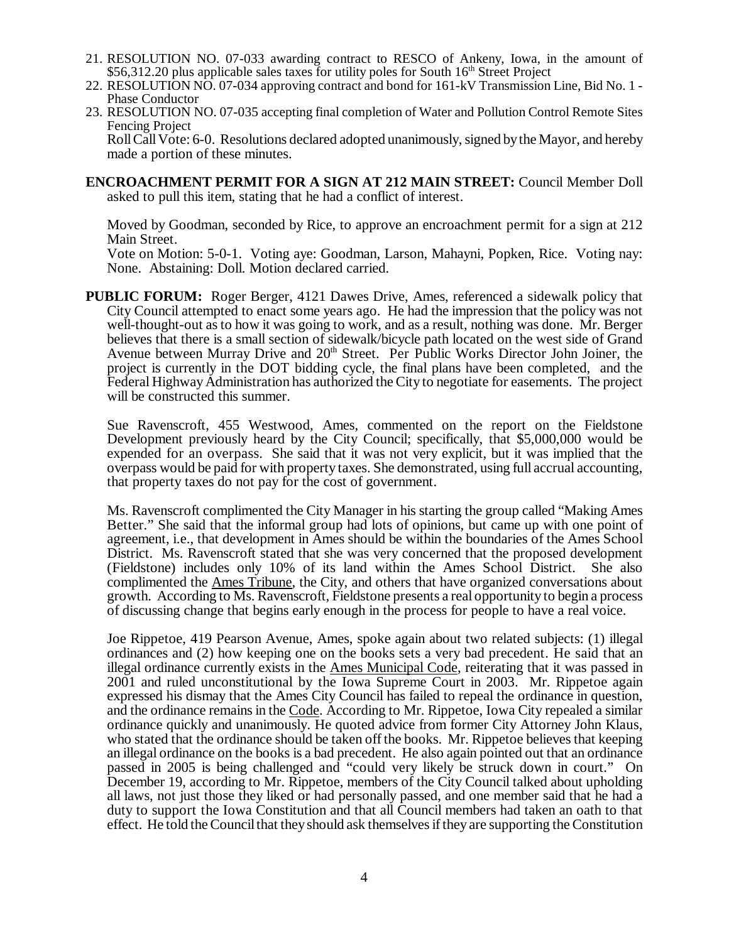- 21. RESOLUTION NO. 07-033 awarding contract to RESCO of Ankeny, Iowa, in the amount of  $$56,312.20$  plus applicable sales taxes for utility poles for South 16<sup>th</sup> Street Project
- 22. RESOLUTION NO. 07-034 approving contract and bond for 161-kV Transmission Line, Bid No. 1 Phase Conductor
- 23. RESOLUTION NO. 07-035 accepting final completion of Water and Pollution Control Remote Sites Fencing Project

Roll Call Vote: 6-0. Resolutions declared adopted unanimously, signed by the Mayor, and hereby made a portion of these minutes.

**ENCROACHMENT PERMIT FOR A SIGN AT 212 MAIN STREET:** Council Member Doll asked to pull this item, stating that he had a conflict of interest.

Moved by Goodman, seconded by Rice, to approve an encroachment permit for a sign at 212 Main Street.

Vote on Motion: 5-0-1. Voting aye: Goodman, Larson, Mahayni, Popken, Rice. Voting nay: None. Abstaining: Doll. Motion declared carried.

**PUBLIC FORUM:** Roger Berger, 4121 Dawes Drive, Ames, referenced a sidewalk policy that City Council attempted to enact some years ago. He had the impression that the policy was not well-thought-out as to how it was going to work, and as a result, nothing was done. Mr. Berger believes that there is a small section of sidewalk/bicycle path located on the west side of Grand Avenue between Murray Drive and  $20<sup>th</sup>$  Street. Per Public Works Director John Joiner, the project is currently in the DOT bidding cycle, the final plans have been completed, and the Federal Highway Administration has authorized the City to negotiate for easements. The project will be constructed this summer.

Sue Ravenscroft, 455 Westwood, Ames, commented on the report on the Fieldstone Development previously heard by the City Council; specifically, that \$5,000,000 would be expended for an overpass. She said that it was not very explicit, but it was implied that the overpass would be paid for with property taxes. She demonstrated, using full accrual accounting, that property taxes do not pay for the cost of government.

Ms. Ravenscroft complimented the City Manager in his starting the group called "Making Ames Better." She said that the informal group had lots of opinions, but came up with one point of agreement, i.e., that development in Ames should be within the boundaries of the Ames School District. Ms. Ravenscroft stated that she was very concerned that the proposed development (Fieldstone) includes only 10% of its land within the Ames School District. She also complimented the Ames Tribune, the City, and others that have organized conversations about growth. According to Ms. Ravenscroft, Fieldstone presents a real opportunity to begin a process of discussing change that begins early enough in the process for people to have a real voice.

Joe Rippetoe, 419 Pearson Avenue, Ames, spoke again about two related subjects: (1) illegal ordinances and (2) how keeping one on the books sets a very bad precedent. He said that an illegal ordinance currently exists in the Ames Municipal Code, reiterating that it was passed in 2001 and ruled unconstitutional by the Iowa Supreme Court in 2003. Mr. Rippetoe again expressed his dismay that the Ames City Council has failed to repeal the ordinance in question, and the ordinance remains in the Code. According to Mr. Rippetoe, Iowa City repealed a similar ordinance quickly and unanimously. He quoted advice from former City Attorney John Klaus, who stated that the ordinance should be taken off the books. Mr. Rippetoe believes that keeping an illegal ordinance on the books is a bad precedent. He also again pointed out that an ordinance passed in 2005 is being challenged and "could very likely be struck down in court." On December 19, according to Mr. Rippetoe, members of the City Council talked about upholding all laws, not just those they liked or had personally passed, and one member said that he had a duty to support the Iowa Constitution and that all Council members had taken an oath to that effect. He told the Council that they should ask themselves if they are supporting the Constitution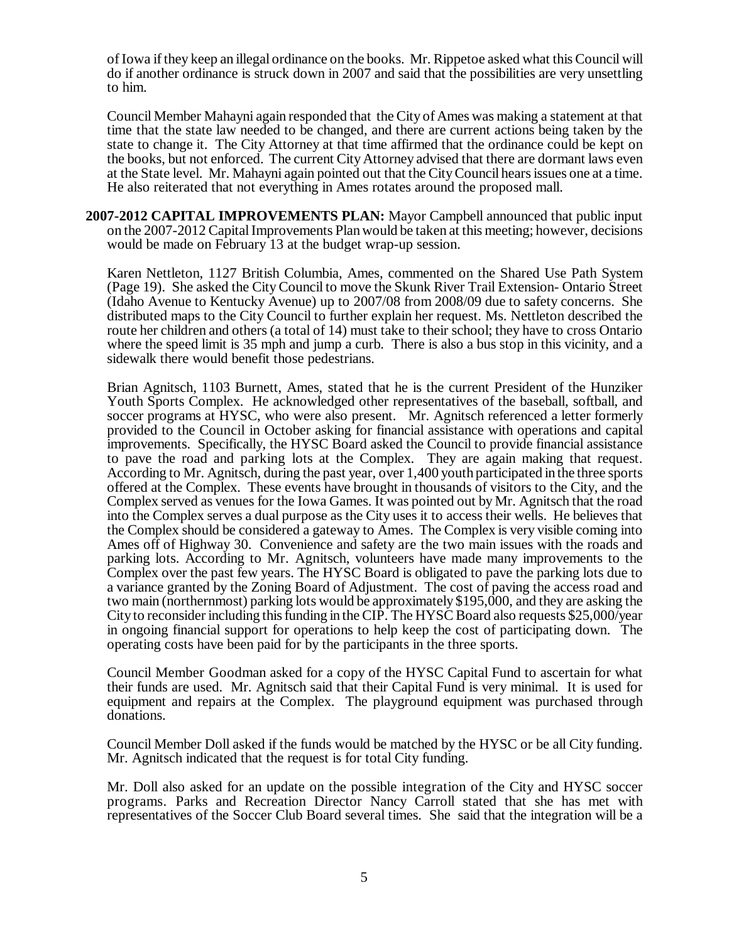of Iowa if they keep an illegal ordinance on the books. Mr. Rippetoe asked what this Council will do if another ordinance is struck down in 2007 and said that the possibilities are very unsettling to him.

Council Member Mahayni again responded that the City of Ames was making a statement at that time that the state law needed to be changed, and there are current actions being taken by the state to change it. The City Attorney at that time affirmed that the ordinance could be kept on the books, but not enforced. The current City Attorney advised that there are dormant laws even at the State level. Mr. Mahayni again pointed out that the City Council hears issues one at a time. He also reiterated that not everything in Ames rotates around the proposed mall.

**2007-2012 CAPITAL IMPROVEMENTS PLAN:** Mayor Campbell announced that public input on the 2007-2012 Capital Improvements Plan would be taken at this meeting; however, decisions would be made on February 13 at the budget wrap-up session.

Karen Nettleton, 1127 British Columbia, Ames, commented on the Shared Use Path System (Page 19). She asked the City Council to move the Skunk River Trail Extension- Ontario Street (Idaho Avenue to Kentucky Avenue) up to 2007/08 from 2008/09 due to safety concerns. She distributed maps to the City Council to further explain her request. Ms. Nettleton described the route her children and others (a total of 14) must take to their school; they have to cross Ontario where the speed limit is 35 mph and jump a curb. There is also a bus stop in this vicinity, and a sidewalk there would benefit those pedestrians.

Brian Agnitsch, 1103 Burnett, Ames, stated that he is the current President of the Hunziker Youth Sports Complex. He acknowledged other representatives of the baseball, softball, and soccer programs at HYSC, who were also present. Mr. Agnitsch referenced a letter formerly provided to the Council in October asking for financial assistance with operations and capital improvements. Specifically, the HYSC Board asked the Council to provide financial assistance to pave the road and parking lots at the Complex. They are again making that request. According to Mr. Agnitsch, during the past year, over 1,400 youth participated in the three sports offered at the Complex. These events have brought in thousands of visitors to the City, and the Complex served as venues for the Iowa Games. It was pointed out by Mr. Agnitsch that the road into the Complex serves a dual purpose as the City uses it to access their wells. He believes that the Complex should be considered a gateway to Ames. The Complex is very visible coming into Ames off of Highway 30. Convenience and safety are the two main issues with the roads and parking lots. According to Mr. Agnitsch, volunteers have made many improvements to the Complex over the past few years. The HYSC Board is obligated to pave the parking lots due to a variance granted by the Zoning Board of Adjustment. The cost of paving the access road and two main (northernmost) parking lots would be approximately \$195,000, and they are asking the City to reconsider including this funding in the CIP. The HYSC Board also requests \$25,000/year in ongoing financial support for operations to help keep the cost of participating down. The operating costs have been paid for by the participants in the three sports.

Council Member Goodman asked for a copy of the HYSC Capital Fund to ascertain for what their funds are used. Mr. Agnitsch said that their Capital Fund is very minimal. It is used for equipment and repairs at the Complex. The playground equipment was purchased through donations.

Council Member Doll asked if the funds would be matched by the HYSC or be all City funding. Mr. Agnitsch indicated that the request is for total City funding.

Mr. Doll also asked for an update on the possible integration of the City and HYSC soccer programs. Parks and Recreation Director Nancy Carroll stated that she has met with representatives of the Soccer Club Board several times. She said that the integration will be a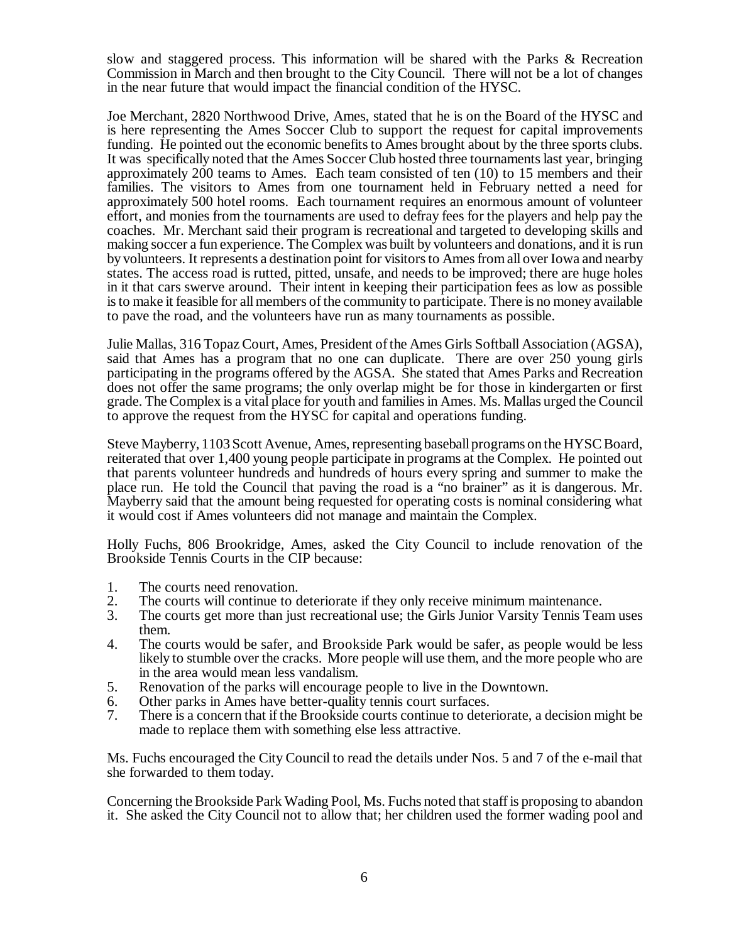slow and staggered process. This information will be shared with the Parks & Recreation Commission in March and then brought to the City Council. There will not be a lot of changes in the near future that would impact the financial condition of the HYSC.

Joe Merchant, 2820 Northwood Drive, Ames, stated that he is on the Board of the HYSC and is here representing the Ames Soccer Club to support the request for capital improvements funding. He pointed out the economic benefits to Ames brought about by the three sports clubs. It was specifically noted that the Ames Soccer Club hosted three tournaments last year, bringing approximately 200 teams to Ames. Each team consisted of ten (10) to 15 members and their families. The visitors to Ames from one tournament held in February netted a need for approximately 500 hotel rooms. Each tournament requires an enormous amount of volunteer effort, and monies from the tournaments are used to defray fees for the players and help pay the coaches. Mr. Merchant said their program is recreational and targeted to developing skills and making soccer a fun experience. The Complex was built by volunteers and donations, and it is run by volunteers. It represents a destination point for visitors to Ames from all over Iowa and nearby states. The access road is rutted, pitted, unsafe, and needs to be improved; there are huge holes in it that cars swerve around. Their intent in keeping their participation fees as low as possible is to make it feasible for all members of the community to participate. There is no money available to pave the road, and the volunteers have run as many tournaments as possible.

Julie Mallas, 316 Topaz Court, Ames, President of the Ames Girls Softball Association (AGSA), said that Ames has a program that no one can duplicate. There are over 250 young girls participating in the programs offered by the AGSA. She stated that Ames Parks and Recreation does not offer the same programs; the only overlap might be for those in kindergarten or first grade. The Complex is a vital place for youth and families in Ames. Ms. Mallas urged the Council to approve the request from the HYSC for capital and operations funding.

Steve Mayberry, 1103 Scott Avenue, Ames, representing baseball programs on the HYSC Board, reiterated that over 1,400 young people participate in programs at the Complex. He pointed out that parents volunteer hundreds and hundreds of hours every spring and summer to make the place run. He told the Council that paving the road is a "no brainer" as it is dangerous. Mr. Mayberry said that the amount being requested for operating costs is nominal considering what it would cost if Ames volunteers did not manage and maintain the Complex.

Holly Fuchs, 806 Brookridge, Ames, asked the City Council to include renovation of the Brookside Tennis Courts in the CIP because:

- 1. The courts need renovation.<br>2. The courts will continue to d
- 2. The courts will continue to deteriorate if they only receive minimum maintenance.<br>3. The courts get more than just recreational use: the Girls Junior Varsity Tennis Tea
- The courts get more than just recreational use; the Girls Junior Varsity Tennis Team uses them.
- 4. The courts would be safer, and Brookside Park would be safer, as people would be less likely to stumble over the cracks. More people will use them, and the more people who are in the area would mean less vandalism.
- 5. Renovation of the parks will encourage people to live in the Downtown.
- 6. Other parks in Ames have better-quality tennis court surfaces.
- 7. There is a concern that if the Brookside courts continue to deteriorate, a decision might be made to replace them with something else less attractive.

Ms. Fuchs encouraged the City Council to read the details under Nos. 5 and 7 of the e-mail that she forwarded to them today.

Concerning the Brookside Park Wading Pool, Ms. Fuchs noted that staff is proposing to abandon it. She asked the City Council not to allow that; her children used the former wading pool and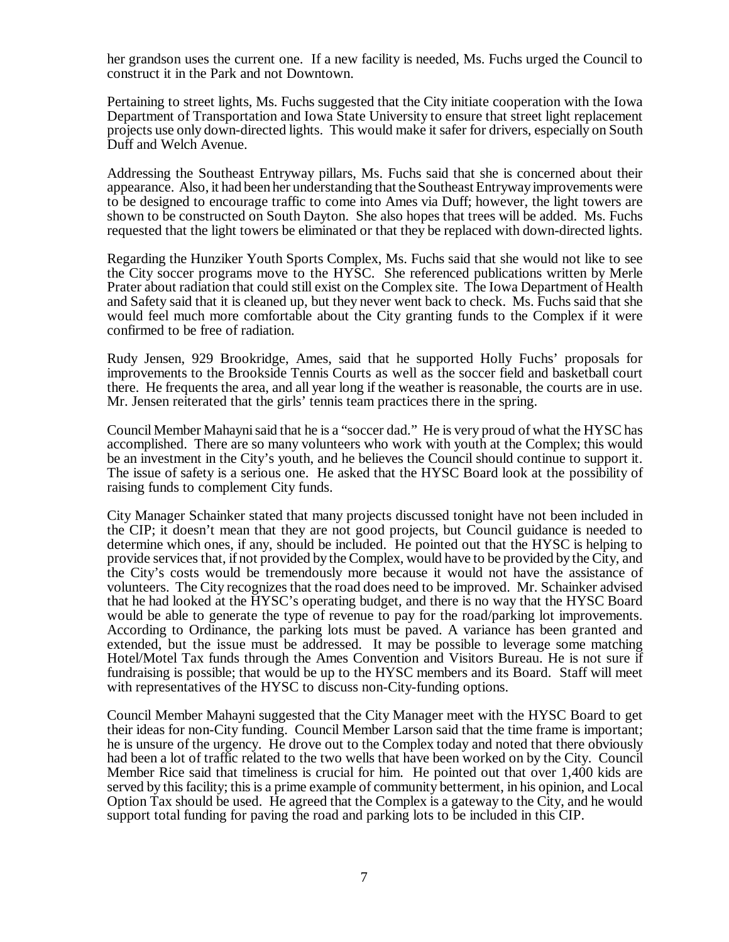her grandson uses the current one. If a new facility is needed, Ms. Fuchs urged the Council to construct it in the Park and not Downtown.

Pertaining to street lights, Ms. Fuchs suggested that the City initiate cooperation with the Iowa Department of Transportation and Iowa State University to ensure that street light replacement projects use only down-directed lights. This would make it safer for drivers, especially on South Duff and Welch Avenue.

Addressing the Southeast Entryway pillars, Ms. Fuchs said that she is concerned about their appearance. Also, it had been her understanding that the Southeast Entryway improvements were to be designed to encourage traffic to come into Ames via Duff; however, the light towers are shown to be constructed on South Dayton. She also hopes that trees will be added. Ms. Fuchs requested that the light towers be eliminated or that they be replaced with down-directed lights.

Regarding the Hunziker Youth Sports Complex, Ms. Fuchs said that she would not like to see the City soccer programs move to the HYSC. She referenced publications written by Merle Prater about radiation that could still exist on the Complex site. The Iowa Department of Health and Safety said that it is cleaned up, but they never went back to check. Ms. Fuchs said that she would feel much more comfortable about the City granting funds to the Complex if it were confirmed to be free of radiation.

Rudy Jensen, 929 Brookridge, Ames, said that he supported Holly Fuchs' proposals for improvements to the Brookside Tennis Courts as well as the soccer field and basketball court there. He frequents the area, and all year long if the weather is reasonable, the courts are in use. Mr. Jensen reiterated that the girls' tennis team practices there in the spring.

Council Member Mahayni said that he is a "soccer dad." He is very proud of what the HYSC has accomplished. There are so many volunteers who work with youth at the Complex; this would be an investment in the City's youth, and he believes the Council should continue to support it. The issue of safety is a serious one. He asked that the HYSC Board look at the possibility of raising funds to complement City funds.

City Manager Schainker stated that many projects discussed tonight have not been included in the CIP; it doesn't mean that they are not good projects, but Council guidance is needed to determine which ones, if any, should be included. He pointed out that the HYSC is helping to provide services that, if not provided by the Complex, would have to be provided by the City, and the City's costs would be tremendously more because it would not have the assistance of volunteers. The City recognizes that the road does need to be improved. Mr. Schainker advised that he had looked at the HYSC's operating budget, and there is no way that the HYSC Board would be able to generate the type of revenue to pay for the road/parking lot improvements. According to Ordinance, the parking lots must be paved. A variance has been granted and extended, but the issue must be addressed. It may be possible to leverage some matching Hotel/Motel Tax funds through the Ames Convention and Visitors Bureau. He is not sure if fundraising is possible; that would be up to the HYSC members and its Board. Staff will meet with representatives of the HYSC to discuss non-City-funding options.

Council Member Mahayni suggested that the City Manager meet with the HYSC Board to get their ideas for non-City funding. Council Member Larson said that the time frame is important; he is unsure of the urgency. He drove out to the Complex today and noted that there obviously had been a lot of traffic related to the two wells that have been worked on by the City. Council Member Rice said that timeliness is crucial for him. He pointed out that over 1,400 kids are served by this facility; this is a prime example of community betterment, in his opinion, and Local Option Tax should be used. He agreed that the Complex is a gateway to the City, and he would support total funding for paving the road and parking lots to be included in this CIP.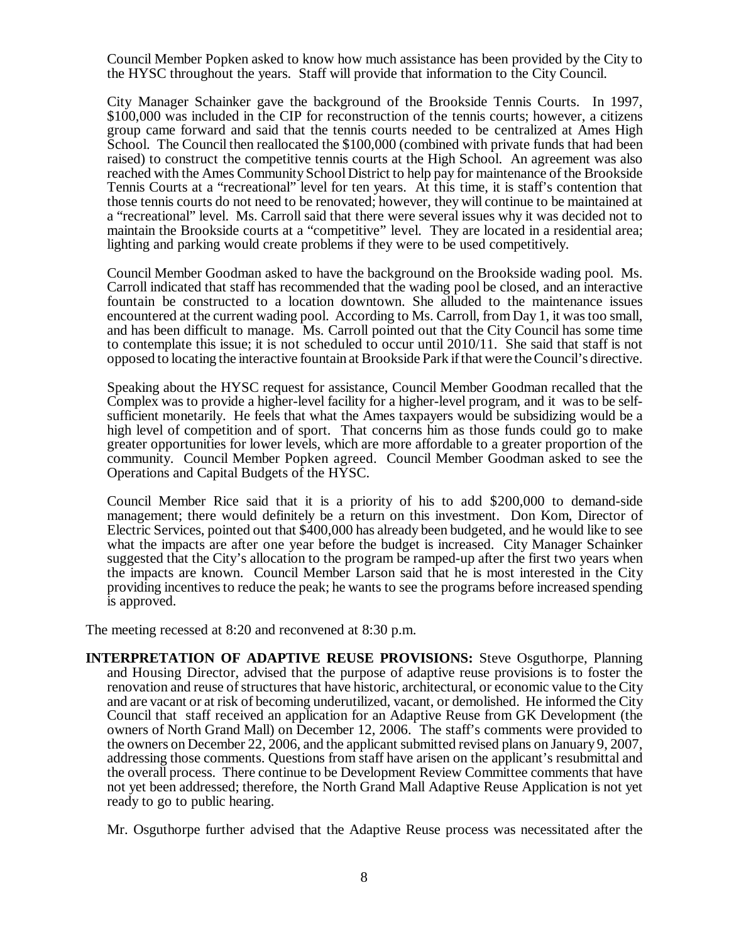Council Member Popken asked to know how much assistance has been provided by the City to the HYSC throughout the years. Staff will provide that information to the City Council.

City Manager Schainker gave the background of the Brookside Tennis Courts. In 1997, \$100,000 was included in the CIP for reconstruction of the tennis courts; however, a citizens group came forward and said that the tennis courts needed to be centralized at Ames High School. The Council then reallocated the \$100,000 (combined with private funds that had been raised) to construct the competitive tennis courts at the High School. An agreement was also reached with the Ames Community School District to help pay for maintenance of the Brookside Tennis Courts at a "recreational" level for ten years. At this time, it is staff's contention that those tennis courts do not need to be renovated; however, they will continue to be maintained at a "recreational" level. Ms. Carroll said that there were several issues why it was decided not to maintain the Brookside courts at a "competitive" level. They are located in a residential area; lighting and parking would create problems if they were to be used competitively.

Council Member Goodman asked to have the background on the Brookside wading pool. Ms. Carroll indicated that staff has recommended that the wading pool be closed, and an interactive fountain be constructed to a location downtown. She alluded to the maintenance issues encountered at the current wading pool. According to Ms. Carroll, from Day 1, it was too small, and has been difficult to manage. Ms. Carroll pointed out that the City Council has some time to contemplate this issue; it is not scheduled to occur until 2010/11. She said that staff is not opposed to locating the interactive fountain at Brookside Park if that were the Council's directive.

Speaking about the HYSC request for assistance, Council Member Goodman recalled that the Complex was to provide a higher-level facility for a higher-level program, and it was to be selfsufficient monetarily. He feels that what the Ames taxpayers would be subsidizing would be a high level of competition and of sport. That concerns him as those funds could go to make greater opportunities for lower levels, which are more affordable to a greater proportion of the community. Council Member Popken agreed. Council Member Goodman asked to see the Operations and Capital Budgets of the HYSC.

Council Member Rice said that it is a priority of his to add \$200,000 to demand-side management; there would definitely be a return on this investment. Don Kom, Director of Electric Services, pointed out that \$400,000 has already been budgeted, and he would like to see what the impacts are after one year before the budget is increased. City Manager Schainker suggested that the City's allocation to the program be ramped-up after the first two years when the impacts are known. Council Member Larson said that he is most interested in the City providing incentives to reduce the peak; he wants to see the programs before increased spending is approved.

The meeting recessed at 8:20 and reconvened at 8:30 p.m.

**INTERPRETATION OF ADAPTIVE REUSE PROVISIONS:** Steve Osguthorpe, Planning and Housing Director, advised that the purpose of adaptive reuse provisions is to foster the renovation and reuse of structures that have historic, architectural, or economic value to the City and are vacant or at risk of becoming underutilized, vacant, or demolished. He informed the City Council that staff received an application for an Adaptive Reuse from GK Development (the owners of North Grand Mall) on December 12, 2006. The staff's comments were provided to the owners on December 22, 2006, and the applicant submitted revised plans on January 9, 2007, addressing those comments. Questions from staff have arisen on the applicant's resubmittal and the overall process. There continue to be Development Review Committee comments that have not yet been addressed; therefore, the North Grand Mall Adaptive Reuse Application is not yet ready to go to public hearing.

Mr. Osguthorpe further advised that the Adaptive Reuse process was necessitated after the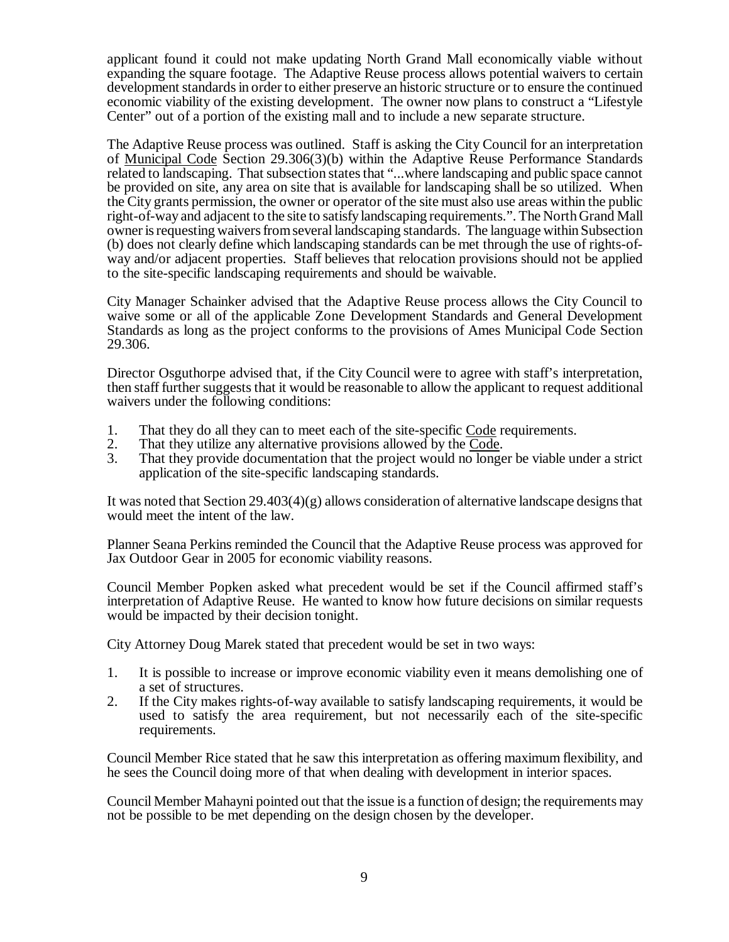applicant found it could not make updating North Grand Mall economically viable without expanding the square footage. The Adaptive Reuse process allows potential waivers to certain development standards in order to either preserve an historic structure or to ensure the continued economic viability of the existing development. The owner now plans to construct a "Lifestyle Center" out of a portion of the existing mall and to include a new separate structure.

The Adaptive Reuse process was outlined. Staff is asking the City Council for an interpretation of Municipal Code Section 29.306(3)(b) within the Adaptive Reuse Performance Standards related to landscaping. That subsection states that "...where landscaping and public space cannot be provided on site, any area on site that is available for landscaping shall be so utilized. When the City grants permission, the owner or operator of the site must also use areas within the public right-of-way and adjacent to the site to satisfy landscaping requirements.". The North Grand Mall owner is requesting waivers from several landscaping standards. The language within Subsection (b) does not clearly define which landscaping standards can be met through the use of rights-ofway and/or adjacent properties. Staff believes that relocation provisions should not be applied to the site-specific landscaping requirements and should be waivable.

City Manager Schainker advised that the Adaptive Reuse process allows the City Council to waive some or all of the applicable Zone Development Standards and General Development Standards as long as the project conforms to the provisions of Ames Municipal Code Section 29.306.

Director Osguthorpe advised that, if the City Council were to agree with staff's interpretation, then staff further suggests that it would be reasonable to allow the applicant to request additional waivers under the following conditions:

- 1. That they do all they can to meet each of the site-specific Code requirements.<br>2. That they utilize any alternative provisions allowed by the Code.
- 2. That they utilize any alternative provisions allowed by the Code.<br>3. That they provide documentation that the project would no longe
- That they provide documentation that the project would no longer be viable under a strict application of the site-specific landscaping standards.

It was noted that Section  $29.403(4)(g)$  allows consideration of alternative landscape designs that would meet the intent of the law.

Planner Seana Perkins reminded the Council that the Adaptive Reuse process was approved for Jax Outdoor Gear in 2005 for economic viability reasons.

Council Member Popken asked what precedent would be set if the Council affirmed staff's interpretation of Adaptive Reuse. He wanted to know how future decisions on similar requests would be impacted by their decision tonight.

City Attorney Doug Marek stated that precedent would be set in two ways:

- 1. It is possible to increase or improve economic viability even it means demolishing one of a set of structures.
- 2. If the City makes rights-of-way available to satisfy landscaping requirements, it would be used to satisfy the area requirement, but not necessarily each of the site-specific requirements.

Council Member Rice stated that he saw this interpretation as offering maximum flexibility, and he sees the Council doing more of that when dealing with development in interior spaces.

Council Member Mahayni pointed out that the issue is a function of design; the requirements may not be possible to be met depending on the design chosen by the developer.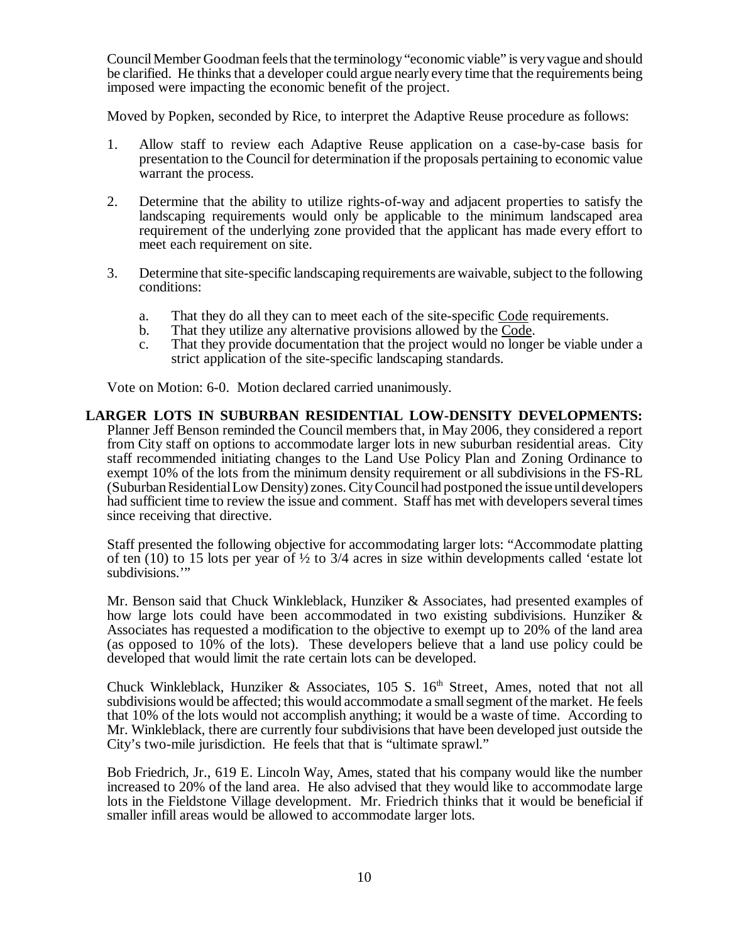Council Member Goodman feels that the terminology "economic viable" is very vague and should be clarified. He thinks that a developer could argue nearly every time that the requirements being imposed were impacting the economic benefit of the project.

Moved by Popken, seconded by Rice, to interpret the Adaptive Reuse procedure as follows:

- 1. Allow staff to review each Adaptive Reuse application on a case-by-case basis for presentation to the Council for determination if the proposals pertaining to economic value warrant the process.
- 2. Determine that the ability to utilize rights-of-way and adjacent properties to satisfy the landscaping requirements would only be applicable to the minimum landscaped area requirement of the underlying zone provided that the applicant has made every effort to meet each requirement on site.
- 3. Determine that site-specific landscaping requirements are waivable, subject to the following conditions:
	- a. That they do all they can to meet each of the site-specific Code requirements.
	- b. That they utilize any alternative provisions allowed by the Code.
	- c. That they provide documentation that the project would no longer be viable under a strict application of the site-specific landscaping standards.

Vote on Motion: 6-0. Motion declared carried unanimously.

#### **LARGER LOTS IN SUBURBAN RESIDENTIAL LOW-DENSITY DEVELOPMENTS:** Planner Jeff Benson reminded the Council members that, in May 2006, they considered a report from City staff on options to accommodate larger lots in new suburban residential areas. City staff recommended initiating changes to the Land Use Policy Plan and Zoning Ordinance to exempt 10% of the lots from the minimum density requirement or all subdivisions in the FS-RL (Suburban Residential Low Density) zones. City Council had postponed the issue until developers had sufficient time to review the issue and comment. Staff has met with developers several times since receiving that directive.

Staff presented the following objective for accommodating larger lots: "Accommodate platting of ten  $(10)$  to 15 lots per year of  $\frac{1}{2}$  to 3/4 acres in size within developments called 'estate lot subdivisions."

Mr. Benson said that Chuck Winkleblack, Hunziker & Associates, had presented examples of how large lots could have been accommodated in two existing subdivisions. Hunziker  $\&$ Associates has requested a modification to the objective to exempt up to 20% of the land area (as opposed to 10% of the lots). These developers believe that a land use policy could be developed that would limit the rate certain lots can be developed.

Chuck Winkleblack, Hunziker & Associates,  $105$  S.  $16<sup>th</sup>$  Street, Ames, noted that not all subdivisions would be affected; this would accommodate a small segment of the market. He feels that 10% of the lots would not accomplish anything; it would be a waste of time. According to Mr. Winkleblack, there are currently four subdivisions that have been developed just outside the City's two-mile jurisdiction. He feels that that is "ultimate sprawl."

Bob Friedrich, Jr., 619 E. Lincoln Way, Ames, stated that his company would like the number increased to 20% of the land area. He also advised that they would like to accommodate large lots in the Fieldstone Village development. Mr. Friedrich thinks that it would be beneficial if smaller infill areas would be allowed to accommodate larger lots.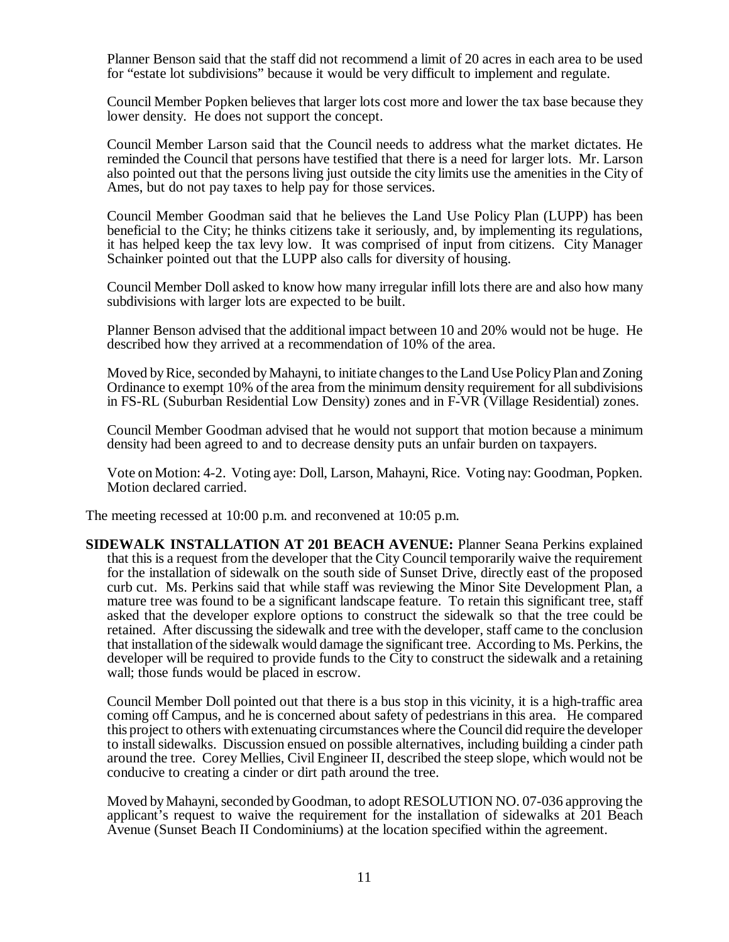Planner Benson said that the staff did not recommend a limit of 20 acres in each area to be used for "estate lot subdivisions" because it would be very difficult to implement and regulate.

Council Member Popken believes that larger lots cost more and lower the tax base because they lower density. He does not support the concept.

Council Member Larson said that the Council needs to address what the market dictates. He reminded the Council that persons have testified that there is a need for larger lots. Mr. Larson also pointed out that the persons living just outside the city limits use the amenities in the City of Ames, but do not pay taxes to help pay for those services.

Council Member Goodman said that he believes the Land Use Policy Plan (LUPP) has been beneficial to the City; he thinks citizens take it seriously, and, by implementing its regulations, it has helped keep the tax levy low. It was comprised of input from citizens. City Manager Schainker pointed out that the LUPP also calls for diversity of housing.

Council Member Doll asked to know how many irregular infill lots there are and also how many subdivisions with larger lots are expected to be built.

Planner Benson advised that the additional impact between 10 and 20% would not be huge. He described how they arrived at a recommendation of 10% of the area.

Moved by Rice, seconded by Mahayni, to initiate changes to the Land Use Policy Plan and Zoning Ordinance to exempt 10% of the area from the minimum density requirement for all subdivisions in FS-RL (Suburban Residential Low Density) zones and in F-VR (Village Residential) zones.

Council Member Goodman advised that he would not support that motion because a minimum density had been agreed to and to decrease density puts an unfair burden on taxpayers.

Vote on Motion: 4-2. Voting aye: Doll, Larson, Mahayni, Rice. Voting nay: Goodman, Popken. Motion declared carried.

The meeting recessed at 10:00 p.m. and reconvened at 10:05 p.m.

**SIDEWALK INSTALLATION AT 201 BEACH AVENUE:** Planner Seana Perkins explained that this is a request from the developer that the City Council temporarily waive the requirement for the installation of sidewalk on the south side of Sunset Drive, directly east of the proposed curb cut. Ms. Perkins said that while staff was reviewing the Minor Site Development Plan, a mature tree was found to be a significant landscape feature. To retain this significant tree, staff asked that the developer explore options to construct the sidewalk so that the tree could be retained. After discussing the sidewalk and tree with the developer, staff came to the conclusion that installation of the sidewalk would damage the significant tree. According to Ms. Perkins, the developer will be required to provide funds to the City to construct the sidewalk and a retaining wall; those funds would be placed in escrow.

Council Member Doll pointed out that there is a bus stop in this vicinity, it is a high-traffic area coming off Campus, and he is concerned about safety of pedestrians in this area. He compared this project to others with extenuating circumstances where the Council did require the developer to install sidewalks. Discussion ensued on possible alternatives, including building a cinder path around the tree. Corey Mellies, Civil Engineer II, described the steep slope, which would not be conducive to creating a cinder or dirt path around the tree.

Moved by Mahayni, seconded by Goodman, to adopt RESOLUTION NO. 07-036 approving the applicant's request to waive the requirement for the installation of sidewalks at 201 Beach Avenue (Sunset Beach II Condominiums) at the location specified within the agreement.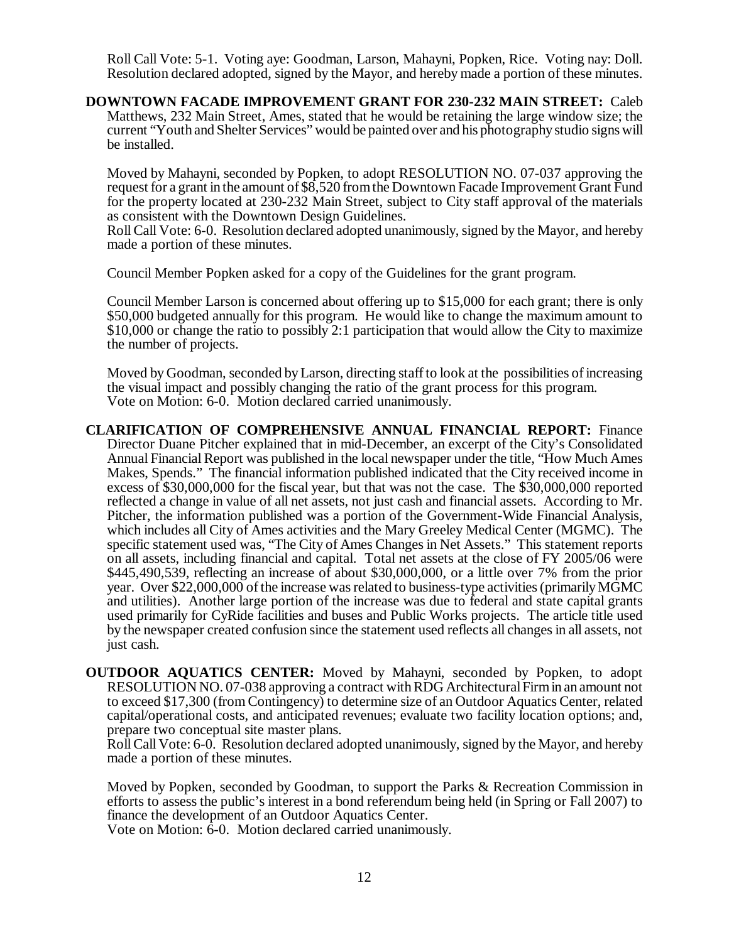Roll Call Vote: 5-1. Voting aye: Goodman, Larson, Mahayni, Popken, Rice. Voting nay: Doll. Resolution declared adopted, signed by the Mayor, and hereby made a portion of these minutes.

**DOWNTOWN FACADE IMPROVEMENT GRANT FOR 230-232 MAIN STREET:** Caleb Matthews, 232 Main Street, Ames, stated that he would be retaining the large window size; the current "Youth and Shelter Services" would be painted over and his photography studio signs will be installed.

Moved by Mahayni, seconded by Popken, to adopt RESOLUTION NO. 07-037 approving the request for a grant in the amount of \$8,520 from the Downtown Facade Improvement Grant Fund for the property located at 230-232 Main Street, subject to City staff approval of the materials as consistent with the Downtown Design Guidelines.

Roll Call Vote: 6-0. Resolution declared adopted unanimously, signed by the Mayor, and hereby made a portion of these minutes.

Council Member Popken asked for a copy of the Guidelines for the grant program.

Council Member Larson is concerned about offering up to \$15,000 for each grant; there is only \$50,000 budgeted annually for this program. He would like to change the maximum amount to \$10,000 or change the ratio to possibly 2:1 participation that would allow the City to maximize the number of projects.

Moved by Goodman, seconded by Larson, directing staff to look at the possibilities of increasing the visual impact and possibly changing the ratio of the grant process for this program. Vote on Motion: 6-0. Motion declared carried unanimously.

- **CLARIFICATION OF COMPREHENSIVE ANNUAL FINANCIAL REPORT:** Finance Director Duane Pitcher explained that in mid-December, an excerpt of the City's Consolidated Annual Financial Report was published in the local newspaper under the title, "How Much Ames Makes, Spends." The financial information published indicated that the City received income in excess of \$30,000,000 for the fiscal year, but that was not the case. The \$30,000,000 reported reflected a change in value of all net assets, not just cash and financial assets. According to Mr. Pitcher, the information published was a portion of the Government-Wide Financial Analysis, which includes all City of Ames activities and the Mary Greeley Medical Center (MGMC). The specific statement used was, "The City of Ames Changes in Net Assets." This statement reports on all assets, including financial and capital. Total net assets at the close of FY 2005/06 were \$445,490,539, reflecting an increase of about \$30,000,000, or a little over 7% from the prior year. Over \$22,000,000 of the increase was related to business-type activities (primarily MGMC and utilities). Another large portion of the increase was due to federal and state capital grants used primarily for CyRide facilities and buses and Public Works projects. The article title used by the newspaper created confusion since the statement used reflects all changes in all assets, not just cash.
- **OUTDOOR AQUATICS CENTER:** Moved by Mahayni, seconded by Popken, to adopt RESOLUTION NO. 07-038 approving a contract with RDG Architectural Firm in an amount not to exceed \$17,300 (from Contingency) to determine size of an Outdoor Aquatics Center, related capital/operational costs, and anticipated revenues; evaluate two facility location options; and, prepare two conceptual site master plans.

Roll Call Vote: 6-0. Resolution declared adopted unanimously, signed by the Mayor, and hereby made a portion of these minutes.

Moved by Popken, seconded by Goodman, to support the Parks & Recreation Commission in efforts to assess the public's interest in a bond referendum being held (in Spring or Fall 2007) to finance the development of an Outdoor Aquatics Center.

Vote on Motion: 6-0. Motion declared carried unanimously.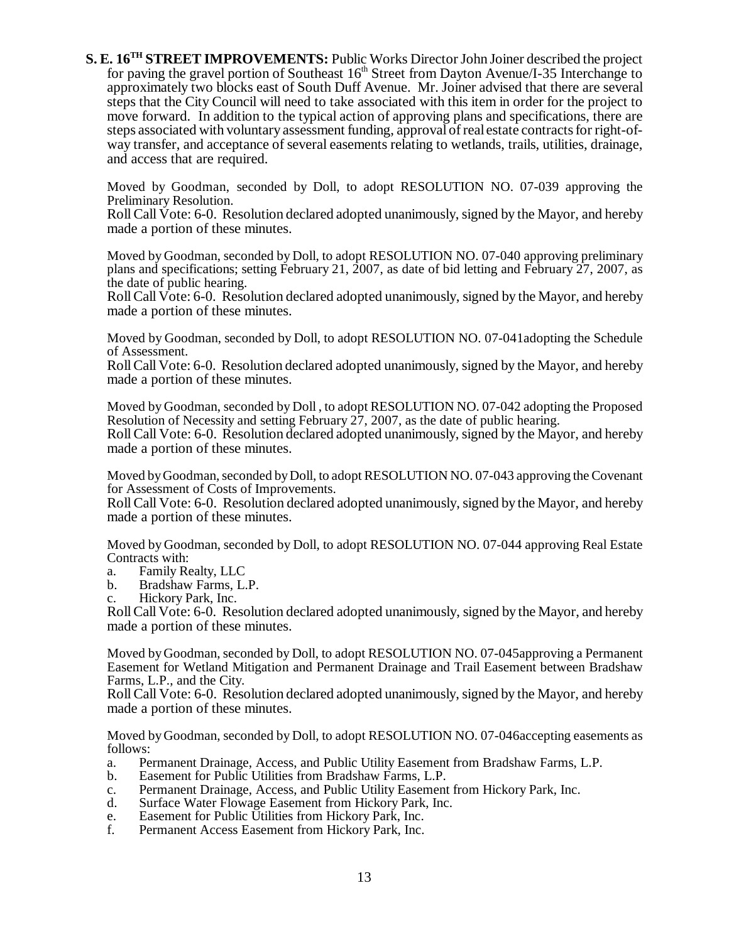**S. E. 16TH STREET IMPROVEMENTS:** Public Works Director John Joiner described the project for paving the gravel portion of Southeast  $16<sup>th</sup>$  Street from Dayton Avenue/I-35 Interchange to approximately two blocks east of South Duff Avenue. Mr. Joiner advised that there are several steps that the City Council will need to take associated with this item in order for the project to move forward. In addition to the typical action of approving plans and specifications, there are steps associated with voluntary assessment funding, approval of real estate contracts for right-ofway transfer, and acceptance of several easements relating to wetlands, trails, utilities, drainage, and access that are required.

Moved by Goodman, seconded by Doll, to adopt RESOLUTION NO. 07-039 approving the Preliminary Resolution.

Roll Call Vote: 6-0. Resolution declared adopted unanimously, signed by the Mayor, and hereby made a portion of these minutes.

Moved by Goodman, seconded by Doll, to adopt RESOLUTION NO. 07-040 approving preliminary plans and specifications; setting February 21, 2007, as date of bid letting and February 27, 2007, as the date of public hearing.

Roll Call Vote: 6-0. Resolution declared adopted unanimously, signed by the Mayor, and hereby made a portion of these minutes.

Moved by Goodman, seconded by Doll, to adopt RESOLUTION NO. 07-041adopting the Schedule of Assessment.

Roll Call Vote: 6-0. Resolution declared adopted unanimously, signed by the Mayor, and hereby made a portion of these minutes.

Moved by Goodman, seconded by Doll , to adopt RESOLUTION NO. 07-042 adopting the Proposed Resolution of Necessity and setting February 27, 2007, as the date of public hearing. Roll Call Vote: 6-0. Resolution declared adopted unanimously, signed by the Mayor, and hereby made a portion of these minutes.

Moved by Goodman, seconded by Doll, to adopt RESOLUTION NO. 07-043 approving the Covenant for Assessment of Costs of Improvements.

Roll Call Vote: 6-0. Resolution declared adopted unanimously, signed by the Mayor, and hereby made a portion of these minutes.

Moved by Goodman, seconded by Doll, to adopt RESOLUTION NO. 07-044 approving Real Estate Contracts with:

- a. Family Realty, LLC
- b. Bradshaw Farms, L.P.
- c. Hickory Park, Inc.

Roll Call Vote: 6-0. Resolution declared adopted unanimously, signed by the Mayor, and hereby made a portion of these minutes.

Moved by Goodman, seconded by Doll, to adopt RESOLUTION NO. 07-045approving a Permanent Easement for Wetland Mitigation and Permanent Drainage and Trail Easement between Bradshaw Farms, L.P., and the City.

Roll Call Vote: 6-0. Resolution declared adopted unanimously, signed by the Mayor, and hereby made a portion of these minutes.

Moved by Goodman, seconded by Doll, to adopt RESOLUTION NO. 07-046accepting easements as follows:

- a. Permanent Drainage, Access, and Public Utility Easement from Bradshaw Farms, L.P.
- b. Easement for Public Utilities from Bradshaw Farms, L.P.
- c. Permanent Drainage, Access, and Public Utility Easement from Hickory Park, Inc.
- d. Surface Water Flowage Easement from Hickory Park, Inc.
- e. Easement for Public Utilities from Hickory Park, Inc.
- Permanent Access Easement from Hickory Park, Inc.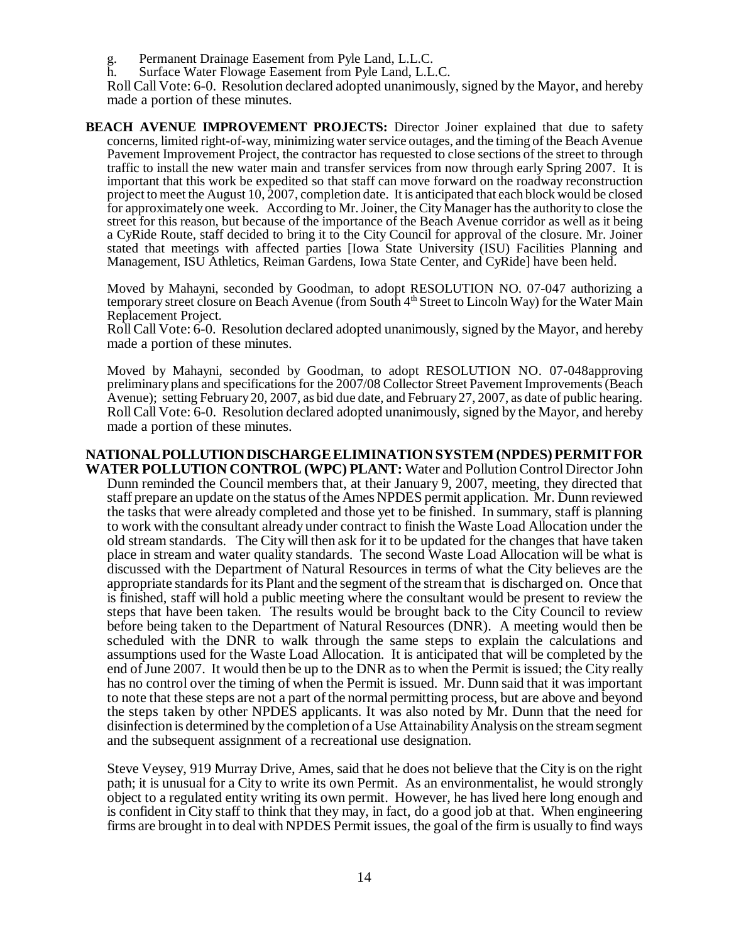g. Permanent Drainage Easement from Pyle Land, L.L.C.

h. Surface Water Flowage Easement from Pyle Land, L.L.C.

Roll Call Vote: 6-0. Resolution declared adopted unanimously, signed by the Mayor, and hereby made a portion of these minutes.

**BEACH AVENUE IMPROVEMENT PROJECTS:** Director Joiner explained that due to safety concerns, limited right-of-way, minimizing water service outages, and the timing of the Beach Avenue Pavement Improvement Project, the contractor has requested to close sections of the street to through traffic to install the new water main and transfer services from now through early Spring 2007. It is important that this work be expedited so that staff can move forward on the roadway reconstruction project to meet the August 10, 2007, completion date. It is anticipated that each block would be closed for approximately one week. According to Mr. Joiner, the City Manager has the authority to close the street for this reason, but because of the importance of the Beach Avenue corridor as well as it being a CyRide Route, staff decided to bring it to the City Council for approval of the closure. Mr. Joiner stated that meetings with affected parties [Iowa State University (ISU) Facilities Planning and Management, ISU Athletics, Reiman Gardens, Iowa State Center, and CyRide] have been held.

Moved by Mahayni, seconded by Goodman, to adopt RESOLUTION NO. 07-047 authorizing a temporary street closure on Beach Avenue (from South 4<sup>th</sup> Street to Lincoln Way) for the Water Main Replacement Project.

Roll Call Vote: 6-0. Resolution declared adopted unanimously, signed by the Mayor, and hereby made a portion of these minutes.

Moved by Mahayni, seconded by Goodman, to adopt RESOLUTION NO. 07-048approving preliminary plans and specifications for the 2007/08 Collector Street Pavement Improvements (Beach Avenue); setting February 20, 2007, as bid due date, and February 27, 2007, as date of public hearing. Roll Call Vote: 6-0. Resolution declared adopted unanimously, signed by the Mayor, and hereby made a portion of these minutes.

# **NATIONAL POLLUTION DISCHARGE ELIMINATION SYSTEM (NPDES) PERMIT FOR**

**WATER POLLUTION CONTROL (WPC) PLANT:** Water and Pollution Control Director John Dunn reminded the Council members that, at their January 9, 2007, meeting, they directed that staff prepare an update on the status of the Ames NPDES permit application. Mr. Dunn reviewed the tasks that were already completed and those yet to be finished. In summary, staff is planning to work with the consultant already under contract to finish the Waste Load Allocation under the old stream standards. The City will then ask for it to be updated for the changes that have taken place in stream and water quality standards. The second Waste Load Allocation will be what is discussed with the Department of Natural Resources in terms of what the City believes are the appropriate standards for its Plant and the segment of the stream that is discharged on. Once that is finished, staff will hold a public meeting where the consultant would be present to review the steps that have been taken. The results would be brought back to the City Council to review before being taken to the Department of Natural Resources (DNR). A meeting would then be scheduled with the DNR to walk through the same steps to explain the calculations and assumptions used for the Waste Load Allocation. It is anticipated that will be completed by the end of June 2007. It would then be up to the DNR as to when the Permit is issued; the City really has no control over the timing of when the Permit is issued. Mr. Dunn said that it was important to note that these steps are not a part of the normal permitting process, but are above and beyond the steps taken by other NPDES applicants. It was also noted by Mr. Dunn that the need for disinfection is determined by the completion of a Use Attainability Analysis on the stream segment and the subsequent assignment of a recreational use designation.

Steve Veysey, 919 Murray Drive, Ames, said that he does not believe that the City is on the right path; it is unusual for a City to write its own Permit. As an environmentalist, he would strongly object to a regulated entity writing its own permit. However, he has lived here long enough and is confident in City staff to think that they may, in fact, do a good job at that. When engineering firms are brought in to deal with NPDES Permit issues, the goal of the firm is usually to find ways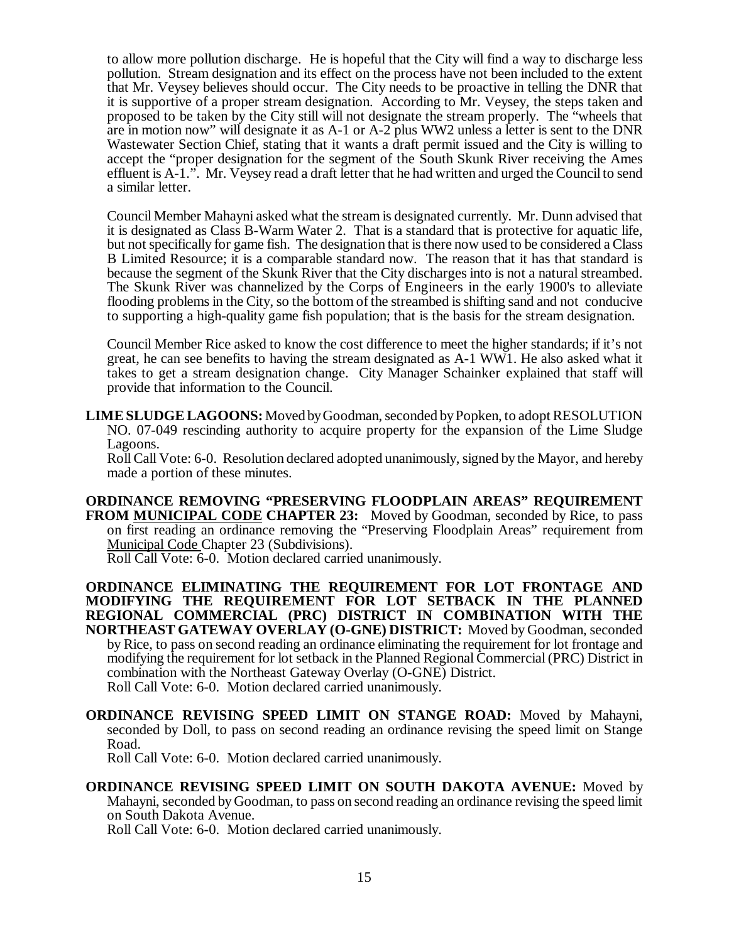to allow more pollution discharge. He is hopeful that the City will find a way to discharge less pollution. Stream designation and its effect on the process have not been included to the extent that Mr. Veysey believes should occur. The City needs to be proactive in telling the DNR that it is supportive of a proper stream designation. According to Mr. Veysey, the steps taken and proposed to be taken by the City still will not designate the stream properly. The "wheels that are in motion now" will designate it as A-1 or A-2 plus WW2 unless a letter is sent to the DNR Wastewater Section Chief, stating that it wants a draft permit issued and the City is willing to accept the "proper designation for the segment of the South Skunk River receiving the Ames effluent is A-1.". Mr. Veysey read a draft letter that he had written and urged the Council to send a similar letter.

Council Member Mahayni asked what the stream is designated currently. Mr. Dunn advised that it is designated as Class B-Warm Water 2. That is a standard that is protective for aquatic life, but not specifically for game fish. The designation that is there now used to be considered a Class B Limited Resource; it is a comparable standard now. The reason that it has that standard is because the segment of the Skunk River that the City discharges into is not a natural streambed. The Skunk River was channelized by the Corps of Engineers in the early 1900's to alleviate flooding problems in the City, so the bottom of the streambed is shifting sand and not conducive to supporting a high-quality game fish population; that is the basis for the stream designation.

Council Member Rice asked to know the cost difference to meet the higher standards; if it's not great, he can see benefits to having the stream designated as A-1 WW1. He also asked what it takes to get a stream designation change. City Manager Schainker explained that staff will provide that information to the Council.

**LIME SLUDGE LAGOONS:** Moved by Goodman, seconded by Popken, to adopt RESOLUTION NO. 07-049 rescinding authority to acquire property for the expansion of the Lime Sludge Lagoons.

Roll Call Vote: 6-0. Resolution declared adopted unanimously, signed by the Mayor, and hereby made a portion of these minutes.

**ORDINANCE REMOVING "PRESERVING FLOODPLAIN AREAS" REQUIREMENT FROM MUNICIPAL CODE CHAPTER 23:** Moved by Goodman, seconded by Rice, to pass on first reading an ordinance removing the "Preserving Floodplain Areas" requirement from Municipal Code Chapter 23 (Subdivisions).

Roll Call Vote: 6-0. Motion declared carried unanimously.

**ORDINANCE ELIMINATING THE REQUIREMENT FOR LOT FRONTAGE AND MODIFYING THE REQUIREMENT FOR LOT SETBACK IN THE PLANNED REGIONAL COMMERCIAL (PRC) DISTRICT IN COMBINATION WITH THE NORTHEAST GATEWAY OVERLAY (O-GNE) DISTRICT:** Moved by Goodman, seconded by Rice, to pass on second reading an ordinance eliminating the requirement for lot frontage and modifying the requirement for lot setback in the Planned Regional Commercial (PRC) District in combination with the Northeast Gateway Overlay (O-GNE) District. Roll Call Vote: 6-0. Motion declared carried unanimously.

**ORDINANCE REVISING SPEED LIMIT ON STANGE ROAD:** Moved by Mahayni, seconded by Doll, to pass on second reading an ordinance revising the speed limit on Stange Road.

Roll Call Vote: 6-0. Motion declared carried unanimously.

**ORDINANCE REVISING SPEED LIMIT ON SOUTH DAKOTA AVENUE:** Moved by Mahayni, seconded by Goodman, to pass on second reading an ordinance revising the speed limit on South Dakota Avenue.

Roll Call Vote: 6-0. Motion declared carried unanimously.